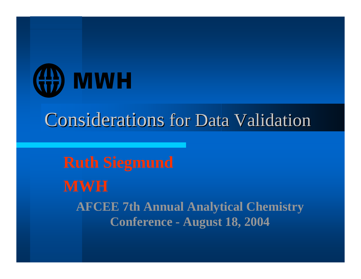

## **Considerations for Data Validation**

**Ruth Siegmund MWHAFCEE 7th Annual Analytical Chemistry Conference - August 18, 2004**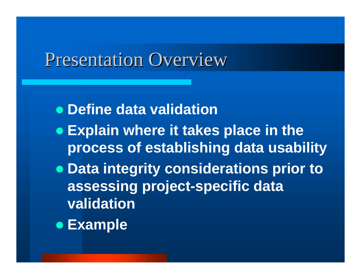### Presentation Overview

- **Define data validation**
- **Explain where it takes place in the process of establishing data usability**
- **Data integrity considerations prior to assessing project-specific data validation**
- **Example**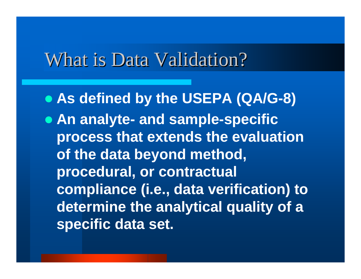### What is Data Validation?

 **As defined by the USEPA (QA/G-8) An analyte- and sample-specific process that extends the evaluation of the data beyond method, procedural, or contractual compliance (i.e., data verification) to determine the analytical quality of a specific data set.**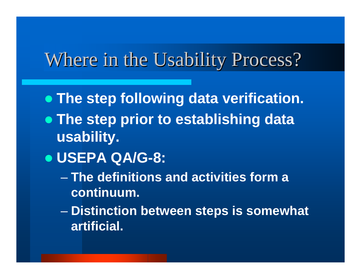## Where in the Usability Process?

- **The step following data verification.**
- **The step prior to establishing data usability.**
- **USEPA QA/G-8:**
	- **The definitions and activities form a continuum.**
	- $\mathcal{L}_{\mathcal{A}}$  , where  $\mathcal{L}_{\mathcal{A}}$  is the set of the set of the set of the set of the set of the set of the set of the set of the set of the set of the set of the set of the set of the set of the set of the set of the **Distinction between steps is somewhat artificial.**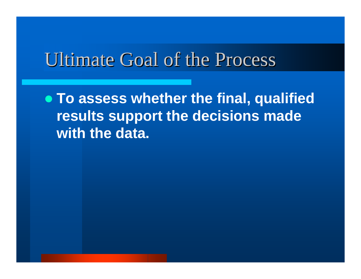## Ultimate Goal of the Process Ultimate Goal of the Process

 **To assess whether the final, qualified results support the decisions made with the data.**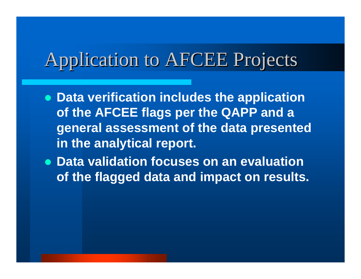## Application to AFCEE Projects

- **Data verification includes the application of the AFCEE flags per the QAPP and a general assessment of the data presented in the analytical report.**
- **Data validation focuses on an evaluation of the flagged data and impact on results.**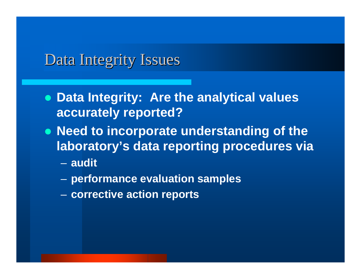#### Data Integrity Issues

- **Data Integrity: Are the analytical values accurately reported?**
- **Need to incorporate understanding of the laboratory's data reporting procedures via**
	- **audit**
	- **performance evaluation samples**
	- **corrective action reports**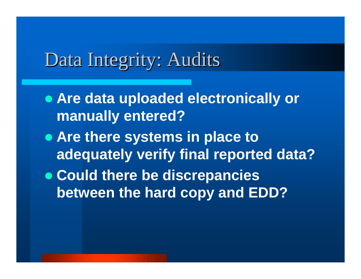## Data Integrity: Audits

- **Are data uploaded electronically or manually entered?**
- **Are there systems in place to adequately verify final reported data?**
- **Could there be discrepancies between the hard copy and EDD?**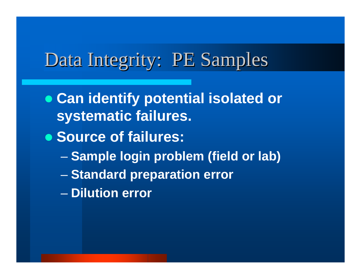## Data Integrity: PE Samples

- **Can identify potential isolated or systematic failures.**
- **Source of failures:**
	- $\mathcal{L}_{\mathcal{A}}$  , where  $\mathcal{L}_{\mathcal{A}}$  is the set of the set of the set of the set of the set of the set of the set of the set of the set of the set of the set of the set of the set of the set of the set of the set of the **Sample login problem (field or lab)**
	- $\mathcal{L}_{\mathcal{A}}$  , where  $\mathcal{L}_{\mathcal{A}}$  is the set of the set of the set of the set of the set of the set of the set of the set of the set of the set of the set of the set of the set of the set of the set of the set of the **Standard preparation error**
	- **Dilution error**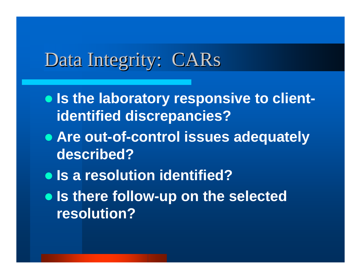## Data Integrity: CARs

- **Is the laboratory responsive to clientidentified discrepancies?**
- **Are out-of-control issues adequately described?**
- $\bullet$  **Is a resolution identified?**
- **Is there follow-up on the selected resolution?**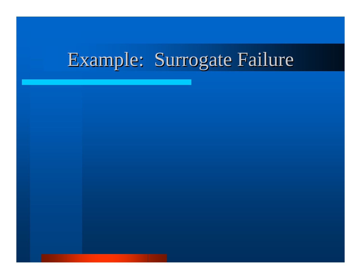# Example: Surrogate Failure

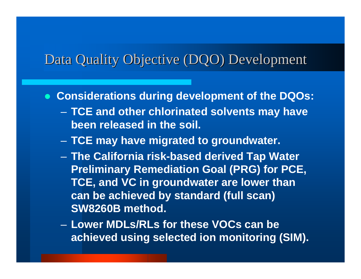#### Data Quality Objective (DQO) Development

- **Considerations during development of the DQOs:**
	- **TCE and other chlorinated solvents may have been released in the soil.**
	- $\mathcal{L}_{\mathcal{A}}$ **TCE may have migrated to groundwater.**
	- **The California risk-based derived Tap Water Preliminary Remediation Goal (PRG) for PCE, TCE, and VC in groundwater are lower than can be achieved by standard (full scan) SW8260B method.**
	- **Lower MDLs/RLs for these VOCs can be achieved using selected ion monitoring (SIM).**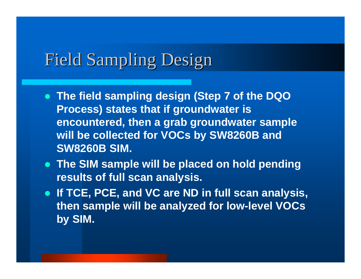### **Field Sampling Design**

- **The field sampling design (Step 7 of the DQO Process) states that if groundwater is encountered, then a grab groundwater sample will be collected for VOCs by SW8260B and SW8260B SIM.**
- **The SIM sample will be placed on hold pending results of full scan analysis.**
- **If TCE, PCE, and VC are ND in full scan analysis, then sample will be analyzed for low-level VOCs by SIM.**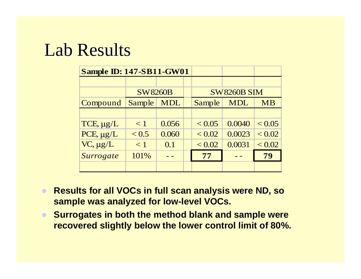### Lab Results

| <b>Sample ID: 147-SB11-GW01</b> |                |            |                    |               |            |           |
|---------------------------------|----------------|------------|--------------------|---------------|------------|-----------|
|                                 |                |            |                    |               |            |           |
|                                 | <b>SW8260B</b> |            | <b>SW8260B SIM</b> |               |            |           |
| Compound                        | Sample         | <b>MDL</b> |                    | <b>Sample</b> | <b>MDL</b> | <b>MB</b> |
|                                 |                |            |                    |               |            |           |
| TCE, µg/L                       | $\lt 1$        | 0.056      |                    | < 0.05        | 0.0040     | < 0.05    |
| $PCE, \mu g/L$                  | < 0.5          | 0.060      |                    | ${}_{< 0.02}$ | 0.0023     | < 0.02    |
| $VC, \mu g/L$                   | $\lt 1$        | 0.1        |                    | < 0.02        | 0.0031     | < 0.02    |
| Surrogate                       | 101%           |            |                    | 77            |            | 79        |
|                                 |                |            |                    |               |            |           |

- $\bullet$  **Results for all VOCs in full scan analysis were ND, so sample was analyzed for low-level VOCs.**
- $\bullet$  **Surrogates in both the method blank and sample were recovered slightly below the lower control limit of 80%.**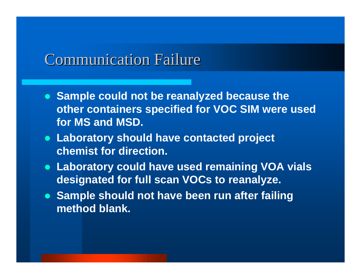#### Communication Failure Communication Failure

- **Sample could not be reanalyzed because the other containers specified for VOC SIM were used for MS and MSD.**
- **Laboratory should have contacted project chemist for direction.**
- **Laboratory could have used remaining VOA vials designated for full scan VOCs to reanalyze.**
- **Sample should not have been run after failing method blank.**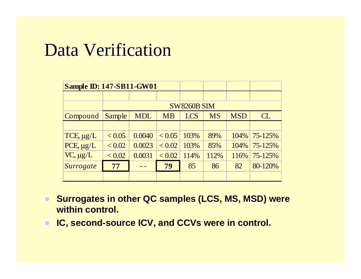### **Data Verification**

| <b>Sample ID: 147-SB11-GW01</b> |                    |            |           |            |           |            |         |
|---------------------------------|--------------------|------------|-----------|------------|-----------|------------|---------|
|                                 |                    |            |           |            |           |            |         |
|                                 | <b>SW8260B SIM</b> |            |           |            |           |            |         |
| Compound                        | Sample             | <b>MDL</b> | <b>MB</b> | <b>LCS</b> | <b>MS</b> | <b>MSD</b> | CL      |
|                                 |                    |            |           |            |           |            |         |
| TCE, $\mu$ g/L                  | < 0.05             | 0.0040     | < 0.05    | 103%       | 89%       | $104\%$    | 75-125% |
| PCE, $\mu$ g/L                  | ${}_{< 0.02}$      | 0.0023     | < 0.02    | 103%       | 85%       | $104\%$    | 75-125% |
| $VC, \mu g/L$                   | < 0.02             | 0.0031     | < 0.02    | 114%       | 112%      | 116%       | 75-125% |
| Surrogate                       | 77                 |            | 79        | 85         | 86        | 82         | 80-120% |
|                                 |                    |            |           |            |           |            |         |

- **Surrogates in other QC samples (LCS, MS, MSD) were within control.**
- **IC, second-source ICV, and CCVs were in control.**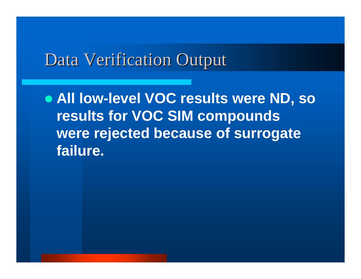### Data Verification Output

 **All low-level VOC results were ND, so results for VOC SIM compounds were rejected because of surrogate failure.**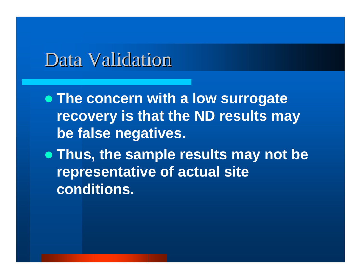**The concern with a low surrogate recovery is that the ND results may be false negatives.**

 **Thus, the sample results may not be representative of actual site conditions.**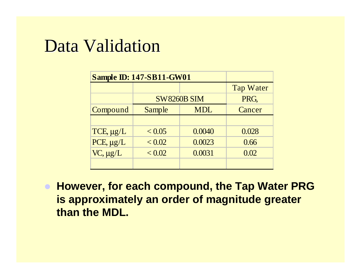| <b>Sample ID: 147-SB11-GW01</b> |                      |        |                  |  |
|---------------------------------|----------------------|--------|------------------|--|
|                                 |                      |        | <b>Tap Water</b> |  |
|                                 | <b>SW8260B SIM</b>   | PRG,   |                  |  |
| Compound                        | <b>MDL</b><br>Sample |        | Cancer           |  |
|                                 |                      |        |                  |  |
| $TCE, \mu g/L$                  | < 0.05               | 0.0040 | 0.028            |  |
| PCE, $\mu g/L$                  | < 0.02               | 0.0023 | 0.66             |  |
| $VC, \mu g/L$                   | < 0.02               | 0.0031 | 0.02             |  |
|                                 |                      |        |                  |  |

 **However, for each compound, the Tap Water PRG is approximately an order of magnitude greater than the MDL.**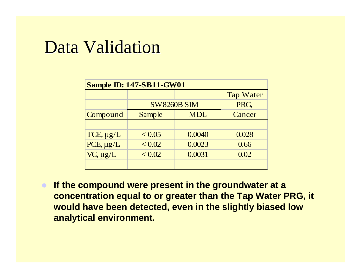| <b>Sample ID: 147-SB11-GW01</b> |                      |        |                  |  |
|---------------------------------|----------------------|--------|------------------|--|
|                                 |                      |        | <b>Tap Water</b> |  |
|                                 | <b>SW8260B SIM</b>   | PRG.   |                  |  |
| Compound                        | <b>MDL</b><br>Sample |        | Cancer           |  |
|                                 |                      |        |                  |  |
| $TCE, \mu g/L$                  | < 0.05               | 0.0040 | 0.028            |  |
| PCE, $\mu g/L$                  | ${}_{< 0.02}$        | 0.0023 | 0.66             |  |
| $VC, \mu g/L$                   | ${}_{< 0.02}$        | 0.0031 | 0.02             |  |
|                                 |                      |        |                  |  |

 $\bullet$  **If the compound were present in the groundwater at a concentration equal to or greater than the Tap Water PRG, it would have been detected, even in the slightly biased low analytical environment.**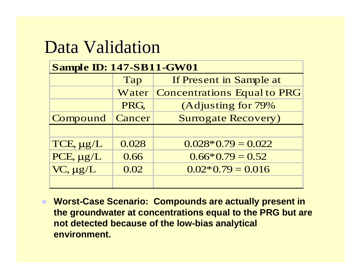| <b>Sample ID: 147-SB11-GW01</b> |        |                                    |  |  |  |
|---------------------------------|--------|------------------------------------|--|--|--|
|                                 | Tap    | If Present in Sample at            |  |  |  |
|                                 | Water  | <b>Concentrations Equal to PRG</b> |  |  |  |
|                                 | PRG,   | (Adjusting for 79%                 |  |  |  |
| Compound                        | Cancer | <b>Surrogate Recovery)</b>         |  |  |  |
|                                 |        |                                    |  |  |  |
| TCE, µg/L                       | 0.028  | $0.028*0.79=0.022$                 |  |  |  |
| PCE, µg/L                       | 0.66   | $0.66*0.79=0.52$                   |  |  |  |
| VC, µg/L                        | 0.02   | $0.02*0.79=0.016$                  |  |  |  |
|                                 |        |                                    |  |  |  |

 $\bullet$  **Worst-Case Scenario: Compounds are actually present in the groundwater at concentrations equal to the PRG but are not detected because of the low-bias analytical environment.**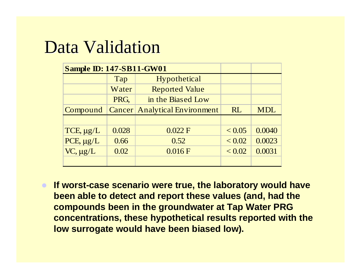| <b>Sample ID: 147-SB11-GW01</b> |       |                                      |               |            |
|---------------------------------|-------|--------------------------------------|---------------|------------|
|                                 | Tap   | Hypothetical                         |               |            |
|                                 | Water | <b>Reported Value</b>                |               |            |
|                                 | PRG,  | in the Biased Low                    |               |            |
| Compound                        |       | <b>Cancer Analytical Environment</b> | <b>RL</b>     | <b>MDL</b> |
|                                 |       |                                      |               |            |
| TCE, $\mu g/L$                  | 0.028 | 0.022 F                              | < 0.05        | 0.0040     |
| $PCE, \mu g/L$                  | 0.66  | 0.52                                 | ${}_{< 0.02}$ | 0.0023     |
| $VC, \mu g/L$                   | 0.02  | 0.016 F                              | ${}_{< 0.02}$ | 0.0031     |
|                                 |       |                                      |               |            |

 $\bullet$  **If worst-case scenario were true, the laboratory would have been able to detect and report these values (and, had the compounds been in the groundwater at Tap Water PRG concentrations, these hypothetical results reported with the low surrogate would have been biased low).**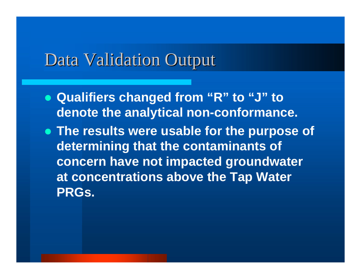#### Data Validation Output

- **Qualifiers changed from "R" to "J" to denote the analytical non-conformance.**
- **The results were usable for the purpose of determining that the contaminants of concern have not impacted groundwater at concentrations above the Tap Water PRGs.**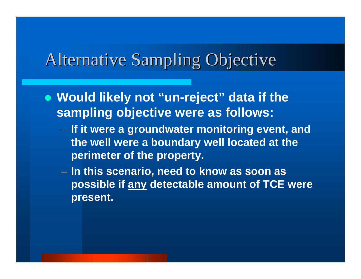### Alternative Sampling Objective

- **Would likely not "un-reject" data if the sampling objective were as follows:**
	- **If it were a groundwater monitoring event, and the well were a boundary well located at the perimeter of the property.**
	- **In this scenario, need to know as soon as possible if any detectable amount of TCE were present.**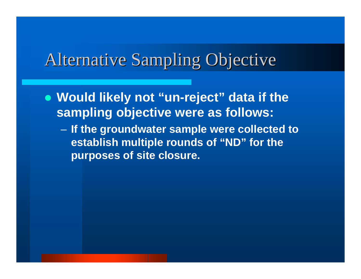### Alternative Sampling Objective

- **Would likely not "un-reject" data if the sampling objective were as follows:**
	- **If the groundwater sample were collected to establish multiple rounds of "ND" for the purposes of site closure.**